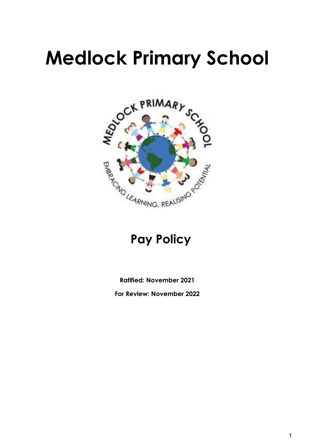# **Medlock Primary School**



### **Pay Policy**

**Ratified: November 2021**

**For Review: November 2022**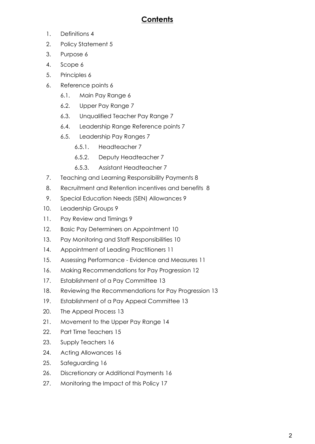#### **Contents**

- 1. Definitions 4
- 2. Policy Statement 5
- 3. Purpose 6
- 4. Scope 6
- 5. Principles 6
- 6. Reference points 6
	- 6.1. Main Pay Range 6
	- 6.2. Upper Pay Range 7
	- 6.3. Unqualified Teacher Pay Range 7
	- 6.4. Leadership Range Reference points 7
	- 6.5. Leadership Pay Ranges 7
		- 6.5.1. Headteacher 7
		- 6.5.2. Deputy Headteacher 7
		- 6.5.3. Assistant Headteacher 7
- 7. Teaching and Learning Responsibility Payments 8
- 8. Recruitment and Retention incentives and benefits 8
- 9. Special Education Needs (SEN) Allowances 9
- 10. Leadership Groups 9
- 11. Pay Review and Timings 9
- 12. Basic Pay Determiners on Appointment 10
- 13. Pay Monitoring and Staff Responsibilities 10
- 14. Appointment of Leading Practitioners 11
- 15. Assessing Performance Evidence and Measures 11
- 16. Making Recommendations for Pay Progression 12
- 17. Establishment of a Pay Committee 13
- 18. Reviewing the Recommendations for Pay Progression 13
- 19. Establishment of a Pay Appeal Committee 13
- 20. The Appeal Process 13
- 21. Movement to the Upper Pay Range 14
- 22. Part Time Teachers 15
- 23. Supply Teachers 16
- 24. Acting Allowances 16
- 25. Safeguarding 16
- 26. Discretionary or Additional Payments 16
- 27. Monitoring the Impact of this Policy 17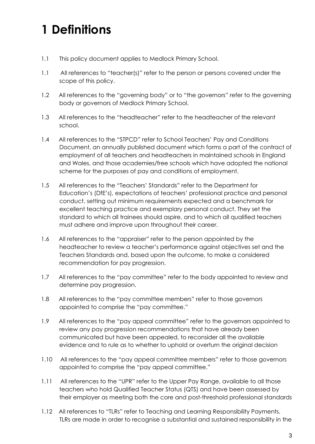# **1 Definitions**

- 1.1 This policy document applies to Medlock Primary School.
- 1.1 All references to "teacher(s)" refer to the person or persons covered under the scope of this policy.
- 1.2 All references to the "governing body" or to "the governors" refer to the governing body or governors of Medlock Primary School.
- 1.3 All references to the "headteacher" refer to the headteacher of the relevant school.
- 1.4 All references to the "STPCD" refer to School Teachers' Pay and Conditions Document, an annually published document which forms a part of the contract of employment of all teachers and headteachers in maintained schools in England and Wales, and those academies/free schools which have adopted the national scheme for the purposes of pay and conditions of employment.
- 1.5 All references to the "Teachers' Standards" refer to the Department for Education's (DfE's), expectations of teachers' professional practice and personal conduct, setting out minimum requirements expected and a benchmark for excellent teaching practice and exemplary personal conduct. They set the standard to which all trainees should aspire, and to which all qualified teachers must adhere and improve upon throughout their career.
- 1.6 All references to the "appraiser" refer to the person appointed by the headteacher to review a teacher's performance against objectives set and the Teachers Standards and, based upon the outcome, to make a considered recommendation for pay progression.
- 1.7 All references to the "pay committee" refer to the body appointed to review and determine pay progression.
- 1.8 All references to the "pay committee members" refer to those governors appointed to comprise the "pay committee."
- 1.9 All references to the "pay appeal committee" refer to the governors appointed to review any pay progression recommendations that have already been communicated but have been appealed, to reconsider all the available evidence and to rule as to whether to uphold or overturn the original decision
- 1.10 All references to the "pay appeal committee members" refer to those governors appointed to comprise the "pay appeal committee."
- 1.11 All references to the "UPR" refer to the Upper Pay Range, available to all those teachers who hold Qualified Teacher Status (QTS) and have been assessed by their employer as meeting both the core and post-threshold professional standards
- 1.12 All references to "TLRs" refer to Teaching and Learning Responsibility Payments. TLRs are made in order to recognise a substantial and sustained responsibility in the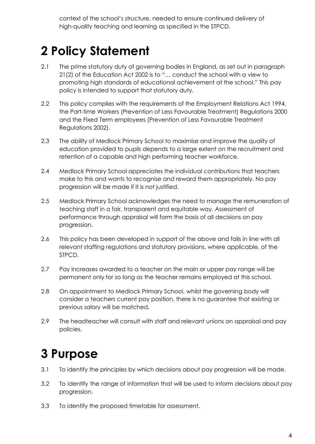context of the school's structure, needed to ensure continued delivery of high-quality teaching and learning as specified in the STPCD.

## **2 Policy Statement**

- 2.1 The prime statutory duty of governing bodies in England, as set out in paragraph 21(2) of the Education Act 2002 is to "… conduct the school with a view to promoting high standards of educational achievement at the school." This pay policy is intended to support that statutory duty.
- 2.2 This policy complies with the requirements of the Employment Relations Act 1994, the Part-time Workers (Prevention of Less Favourable Treatment) Regulations 2000 and the Fixed Term employees (Prevention of Less Favourable Treatment Regulations 2002).
- 2.3 The ability of Medlock Primary School to maximise and improve the quality of education provided to pupils depends to a large extent on the recruitment and retention of a capable and high performing teacher workforce.
- 2.4 Medlock Primary School appreciates the individual contributions that teachers make to this and wants to recognise and reward them appropriately. No pay progression will be made if it is not justified.
- 2.5 Medlock Primary School acknowledges the need to manage the remuneration of teaching staff in a fair, transparent and equitable way. Assessment of performance through appraisal will form the basis of all decisions on pay progression.
- 2.6 This policy has been developed in support of the above and falls in line with all relevant staffing regulations and statutory provisions, where applicable, of the STPCD.
- 2.7 Pay increases awarded to a teacher on the main or upper pay range will be permanent only for so long as the teacher remains employed at this school.
- 2.8 On appointment to Medlock Primary School, whilst the governing body will consider a teachers current pay position, there is no guarantee that existing or previous salary will be matched.
- 2.9 The headteacher will consult with staff and relevant unions on appraisal and pay policies.

## **3 Purpose**

- 3.1 To identify the principles by which decisions about pay progression will be made.
- 3.2 To identify the range of information that will be used to inform decisions about pay progression.
- 3.3 To identify the proposed timetable for assessment.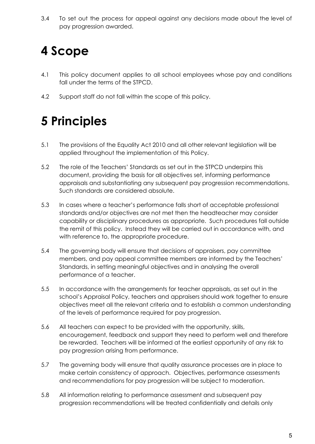3.4 To set out the process for appeal against any decisions made about the level of pay progression awarded.

# **4 Scope**

- 4.1 This policy document applies to all school employees whose pay and conditions fall under the terms of the STPCD.
- 4.2 Support staff do not fall within the scope of this policy.

# **5 Principles**

- 5.1 The provisions of the Equality Act 2010 and all other relevant legislation will be applied throughout the implementation of this Policy.
- 5.2 The role of the Teachers' Standards as set out in the STPCD underpins this document, providing the basis for all objectives set, informing performance appraisals and substantiating any subsequent pay progression recommendations. Such standards are considered absolute.
- 5.3 In cases where a teacher's performance falls short of acceptable professional standards and/or objectives are not met then the headteacher may consider capability or disciplinary procedures as appropriate. Such procedures fall outside the remit of this policy. Instead they will be carried out in accordance with, and with reference to, the appropriate procedure.
- 5.4 The governing body will ensure that decisions of appraisers, pay committee members, and pay appeal committee members are informed by the Teachers' Standards, in setting meaningful objectives and in analysing the overall performance of a teacher.
- 5.5 In accordance with the arrangements for teacher appraisals, as set out in the school's Appraisal Policy, teachers and appraisers should work together to ensure objectives meet all the relevant criteria and to establish a common understanding of the levels of performance required for pay progression.
- 5.6 All teachers can expect to be provided with the opportunity, skills, encouragement, feedback and support they need to perform well and therefore be rewarded. Teachers will be informed at the earliest opportunity of any risk to pay progression arising from performance.
- 5.7 The governing body will ensure that quality assurance processes are in place to make certain consistency of approach. Objectives, performance assessments and recommendations for pay progression will be subject to moderation.
- 5.8 All information relating to performance assessment and subsequent pay progression recommendations will be treated confidentially and details only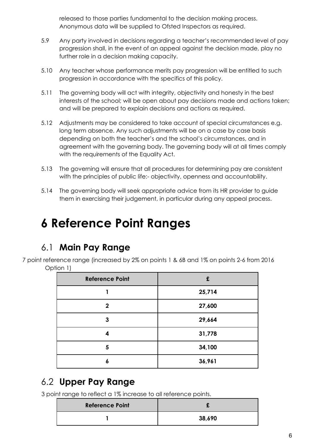released to those parties fundamental to the decision making process. Anonymous data will be supplied to Ofsted Inspectors as required.

- 5.9 Any party involved in decisions regarding a teacher's recommended level of pay progression shall, in the event of an appeal against the decision made, play no further role in a decision making capacity.
- 5.10 Any teacher whose performance merits pay progression will be entitled to such progression in accordance with the specifics of this policy.
- 5.11 The governing body will act with integrity, objectivity and honesty in the best interests of the school; will be open about pay decisions made and actions taken; and will be prepared to explain decisions and actions as required.
- 5.12 Adjustments may be considered to take account of special circumstances e.g. long term absence. Any such adjustments will be on a case by case basis depending on both the teacher's and the school's circumstances, and in agreement with the governing body. The governing body will at all times comply with the requirements of the Equality Act.
- 5.13 The governing will ensure that all procedures for determining pay are consistent with the principles of public life:- objectivity, openness and accountability.
- 5.14 The governing body will seek appropriate advice from its HR provider to guide them in exercising their judgement, in particular during any appeal process.

### **6 Reference Point Ranges**

#### 6.1 **Main Pay Range**

7 point reference range (increased by 2% on points 1 & 6B and 1% on points 2-6 from 2016 Option 1)

| <b>Reference Point</b> | £      |
|------------------------|--------|
|                        | 25,714 |
| $\overline{2}$         | 27,600 |
| 3                      | 29,664 |
| 4                      | 31,778 |
| 5                      | 34,100 |
| 6                      | 36,961 |

#### 6.2 **Upper Pay Range**

3 point range to reflect a 1% increase to all reference points.

| <b>Reference Point</b> |        |
|------------------------|--------|
|                        | 38,690 |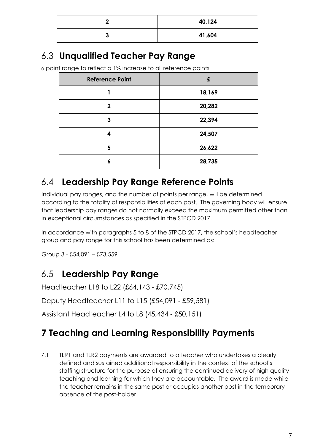| ,      | 40,124 |
|--------|--------|
| າ<br>v | 41,604 |

#### 6.3 **Unqualified Teacher Pay Range**

6 point range to reflect a 1% increase to all reference points

| <b>Reference Point</b> | £      |
|------------------------|--------|
|                        | 18,169 |
| $\mathbf{2}$           | 20,282 |
| 3                      | 22,394 |
| 4                      | 24,507 |
| 5                      | 26,622 |
| 6                      | 28,735 |

#### 6.4 **Leadership Pay Range Reference Points**

Individual pay ranges, and the number of points per range, will be determined according to the totality of responsibilities of each post. The governing body will ensure that leadership pay ranges do not normally exceed the maximum permitted other than in exceptional circumstances as specified in the STPCD 2017.

In accordance with paragraphs 5 to 8 of the STPCD 2017, the school's headteacher group and pay range for this school has been determined as:

Group 3 - £54,091 – £73,559

#### 6.5 **Leadership Pay Range**

Headteacher L18 to L22 (£64,143 - £70,745)

Deputy Headteacher L11 to L15 (£54,091 - £59,581)

Assistant Headteacher L4 to L8 (45,434 - £50,151)

#### **7 Teaching and Learning Responsibility Payments**

7.1 TLR1 and TLR2 payments are awarded to a teacher who undertakes a clearly defined and sustained additional responsibility in the context of the school's staffing structure for the purpose of ensuring the continued delivery of high quality teaching and learning for which they are accountable. The award is made while the teacher remains in the same post or occupies another post in the temporary absence of the post-holder.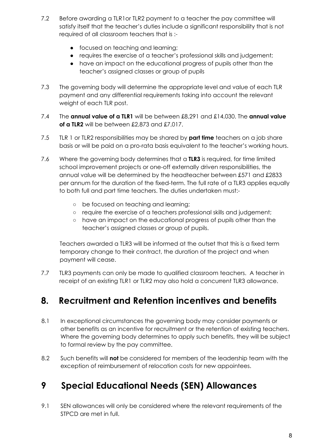- 7.2 Before awarding a TLR1or TLR2 payment to a teacher the pay committee will satisfy itself that the teacher's duties include a significant responsibility that is not required of all classroom teachers that is :-
	- focused on teaching and learning;
	- requires the exercise of a teacher's professional skills and judgement;
	- have an impact on the educational progress of pupils other than the teacher's assigned classes or group of pupils
- 7.3 The governing body will determine the appropriate level and value of each TLR payment and any differential requirements taking into account the relevant weight of each TLR post.
- 7.4 The **annual value of a TLR1** will be between £8,291 and £14,030. The **annual value of a TLR2** will be between £2,873 and £7,017.
- 7.5 TLR 1 or TLR2 responsibilities may be shared by **part time** teachers on a job share basis or will be paid on a pro-rata basis equivalent to the teacher's working hours.
- 7.6 Where the governing body determines that a **TLR3** is required, for time limited school improvement projects or one-off externally driven responsibilities, the annual value will be determined by the headteacher between £571 and £2833 per annum for the duration of the fixed-term. The full rate of a TLR3 applies equally to both full and part time teachers. The duties undertaken must:-
	- be focused on teaching and learning;
	- require the exercise of a teachers professional skills and judgement;
	- have an impact on the educational progress of pupils other than the teacher's assigned classes or group of pupils.

Teachers awarded a TLR3 will be informed at the outset that this is a fixed term temporary change to their contract, the duration of the project and when payment will cease.

7.7 TLR3 payments can only be made to qualified classroom teachers. A teacher in receipt of an existing TLR1 or TLR2 may also hold a concurrent TLR3 allowance.

#### **8. Recruitment and Retention incentives and benefits**

- 8.1 In exceptional circumstances the governing body may consider payments or other benefits as an incentive for recruitment or the retention of existing teachers. Where the governing body determines to apply such benefits, they will be subject to formal review by the pay committee.
- 8.2 Such benefits will **not** be considered for members of the leadership team with the exception of reimbursement of relocation costs for new appointees.

#### **9 Special Educational Needs (SEN) Allowances**

9.1 SEN allowances will only be considered where the relevant requirements of the STPCD are met in full.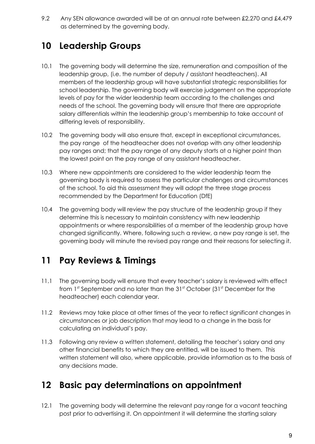9.2 Any SEN allowance awarded will be at an annual rate between £2,270 and £4,479 as determined by the governing body.

#### **10 Leadership Groups**

- 10.1 The governing body will determine the size, remuneration and composition of the leadership group, (i.e. the number of deputy / assistant headteachers). All members of the leadership group will have substantial strategic responsibilities for school leadership. The governing body will exercise judgement on the appropriate levels of pay for the wider leadership team according to the challenges and needs of the school. The governing body will ensure that there are appropriate salary differentials within the leadership group's membership to take account of differing levels of responsibility.
- 10.2 The governing body will also ensure that, except in exceptional circumstances, the pay range of the headteacher does not overlap with any other leadership pay ranges and; that the pay range of any deputy starts at a higher point than the lowest point on the pay range of any assistant headteacher.
- 10.3 Where new appointments are considered to the wider leadership team the governing body is required to assess the particular challenges and circumstances of the school. To aid this assessment they will adopt the three stage process recommended by the Department for Education (DfE)
- 10.4 The governing body will review the pay structure of the leadership group if they determine this is necessary to maintain consistency with new leadership appointments or where responsibilities of a member of the leadership group have changed significantly. Where, following such a review, a new pay range is set, the governing body will minute the revised pay range and their reasons for selecting it.

#### **11 Pay Reviews & Timings**

- 11.1 The governing body will ensure that every teacher's salary is reviewed with effect from 1st September and no later than the 31st October (31st December for the headteacher) each calendar year.
- 11.2 Reviews may take place at other times of the year to reflect significant changes in circumstances or job description that may lead to a change in the basis for calculating an individual's pay.
- 11.3 Following any review a written statement, detailing the teacher's salary and any other financial benefits to which they are entitled, will be issued to them. This written statement will also, where applicable, provide information as to the basis of any decisions made.

#### **12 Basic pay determinations on appointment**

12.1 The governing body will determine the relevant pay range for a vacant teaching post prior to advertising it. On appointment it will determine the starting salary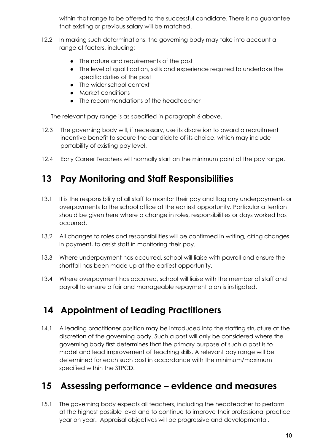within that range to be offered to the successful candidate. There is no guarantee that existing or previous salary will be matched.

- 12.2 In making such determinations, the governing body may take into account a range of factors, including:
	- The nature and requirements of the post
	- The level of qualification, skills and experience required to undertake the specific duties of the post
	- The wider school context
	- Market conditions
	- The recommendations of the headteacher

The relevant pay range is as specified in paragraph 6 above.

- 12.3 The governing body will, if necessary, use its discretion to award a recruitment incentive benefit to secure the candidate of its choice, which may include portability of existing pay level.
- 12.4 Early Career Teachers will normally start on the minimum point of the pay range.

#### **13 Pay Monitoring and Staff Responsibilities**

- 13.1 It is the responsibility of all staff to monitor their pay and flag any underpayments or overpayments to the school office at the earliest opportunity. Particular attention should be given here where a change in roles, responsibilities or days worked has occurred.
- 13.2 All changes to roles and responsibilities will be confirmed in writing, citing changes in payment, to assist staff in monitoring their pay.
- 13.3 Where underpayment has occurred, school will liaise with payroll and ensure the shortfall has been made up at the earliest opportunity.
- 13.4 Where overpayment has occurred, school will liaise with the member of staff and payroll to ensure a fair and manageable repayment plan is instigated.

#### **14 Appointment of Leading Practitioners**

14.1 A leading practitioner position may be introduced into the staffing structure at the discretion of the governing body. Such a post will only be considered where the governing body first determines that the primary purpose of such a post is to model and lead improvement of teaching skills. A relevant pay range will be determined for each such post in accordance with the minimum/maximum specified within the STPCD.

#### **15 Assessing performance – evidence and measures**

15.1 The governing body expects all teachers, including the headteacher to perform at the highest possible level and to continue to improve their professional practice year on year. Appraisal objectives will be progressive and developmental,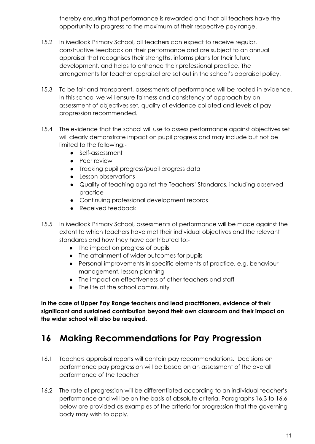thereby ensuring that performance is rewarded and that all teachers have the opportunity to progress to the maximum of their respective pay range.

- 15.2 In Medlock Primary School, all teachers can expect to receive regular, constructive feedback on their performance and are subject to an annual appraisal that recognises their strengths, informs plans for their future development, and helps to enhance their professional practice. The arrangements for teacher appraisal are set out in the school's appraisal policy.
- 15.3 To be fair and transparent, assessments of performance will be rooted in evidence. In this school we will ensure fairness and consistency of approach by an assessment of objectives set, quality of evidence collated and levels of pay progression recommended.
- 15.4 The evidence that the school will use to assess performance against objectives set will clearly demonstrate impact on pupil progress and may include but not be limited to the following:-
	- Self-assessment
	- Peer review
	- Tracking pupil progress/pupil progress data
	- Lesson observations
	- Quality of teaching against the Teachers' Standards, including observed practice
	- Continuing professional development records
	- Received feedback
- 15.5 In Medlock Primary School, assessments of performance will be made against the extent to which teachers have met their individual objectives and the relevant standards and how they have contributed to:-
	- The impact on progress of pupils
	- The attainment of wider outcomes for pupils
	- Personal improvements in specific elements of practice, e.g. behaviour management, lesson planning
	- The impact on effectiveness of other teachers and staff
	- The life of the school community

**In the case of Upper Pay Range teachers and lead practitioners, evidence of their significant and sustained contribution beyond their own classroom and their impact on the wider school will also be required.**

#### **16 Making Recommendations for Pay Progression**

- 16.1 Teachers appraisal reports will contain pay recommendations. Decisions on performance pay progression will be based on an assessment of the overall performance of the teacher
- 16.2 The rate of progression will be differentiated according to an individual teacher's performance and will be on the basis of absolute criteria. Paragraphs 16.3 to 16.6 below are provided as examples of the criteria for progression that the governing body may wish to apply.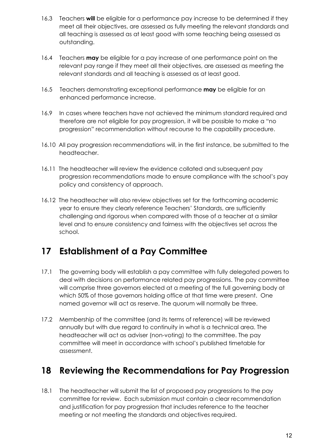- 16.3 Teachers **will** be eligible for a performance pay increase to be determined if they meet all their objectives, are assessed as fully meeting the relevant standards and all teaching is assessed as at least good with some teaching being assessed as outstanding.
- 16.4 Teachers **may** be eligible for a pay increase of one performance point on the relevant pay range if they meet all their objectives, are assessed as meeting the relevant standards and all teaching is assessed as at least good.
- 16.5 Teachers demonstrating exceptional performance **may** be eligible for an enhanced performance increase.
- 16.9 In cases where teachers have not achieved the minimum standard required and therefore are not eligible for pay progression, it will be possible to make a "no progression" recommendation without recourse to the capability procedure.
- 16.10 All pay progression recommendations will, in the first instance, be submitted to the headteacher.
- 16.11 The headteacher will review the evidence collated and subsequent pay progression recommendations made to ensure compliance with the school's pay policy and consistency of approach.
- 16.12 The headteacher will also review objectives set for the forthcoming academic year to ensure they clearly reference Teachers' Standards, are sufficiently challenging and rigorous when compared with those of a teacher at a similar level and to ensure consistency and fairness with the objectives set across the school.

#### **17 Establishment of a Pay Committee**

- 17.1 The governing body will establish a pay committee with fully delegated powers to deal with decisions on performance related pay progressions. The pay committee will comprise three governors elected at a meeting of the full governing body at which 50% of those governors holding office at that time were present. One named governor will act as reserve. The quorum will normally be three.
- 17.2 Membership of the committee (and its terms of reference) will be reviewed annually but with due regard to continuity in what is a technical area. The headteacher will act as adviser (non-voting) to the committee. The pay committee will meet in accordance with school's published timetable for assessment.

#### **18 Reviewing the Recommendations for Pay Progression**

18.1 The headteacher will submit the list of proposed pay progressions to the pay committee for review. Each submission must contain a clear recommendation and justification for pay progression that includes reference to the teacher meeting or not meeting the standards and objectives required.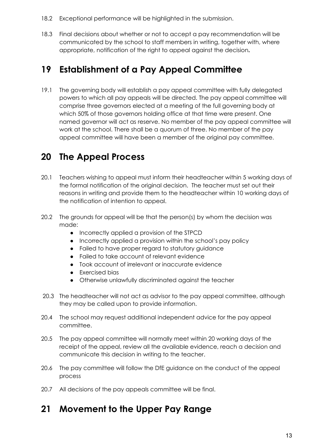- 18.2 Exceptional performance will be highlighted in the submission.
- 18.3 Final decisions about whether or not to accept a pay recommendation will be communicated by the school to staff members in writing, together with, where appropriate, notification of the right to appeal against the decision**.**

#### **19 Establishment of a Pay Appeal Committee**

19.1 The governing body will establish a pay appeal committee with fully delegated powers to which all pay appeals will be directed. The pay appeal committee will comprise three governors elected at a meeting of the full governing body at which 50% of those governors holding office at that time were present. One named governor will act as reserve. No member of the pay appeal committee will work at the school. There shall be a quorum of three. No member of the pay appeal committee will have been a member of the original pay committee.

#### **20 The Appeal Process**

- 20.1 Teachers wishing to appeal must inform their headteacher within 5 working days of the formal notification of the original decision. The teacher must set out their reasons in writing and provide them to the headteacher within 10 working days of the notification of intention to appeal.
- 20.2 The grounds for appeal will be that the person(s) by whom the decision was made:
	- Incorrectly applied a provision of the STPCD
	- Incorrectly applied a provision within the school's pay policy
	- Failed to have proper regard to statutory guidance
	- Failed to take account of relevant evidence
	- Took account of irrelevant or inaccurate evidence
	- Exercised bias
	- Otherwise unlawfully discriminated against the teacher
- 20.3 The headteacher will not act as advisor to the pay appeal committee, although they may be called upon to provide information.
- 20.4 The school may request additional independent advice for the pay appeal committee.
- 20.5 The pay appeal committee will normally meet within 20 working days of the receipt of the appeal, review all the available evidence, reach a decision and communicate this decision in writing to the teacher.
- 20.6 The pay committee will follow the DfE guidance on the conduct of the appeal process
- 20.7 All decisions of the pay appeals committee will be final.

#### **21 Movement to the Upper Pay Range**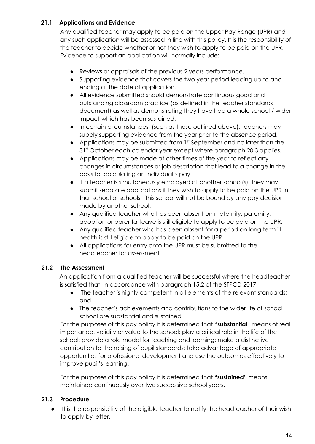#### **21.1 Applications and Evidence**

Any qualified teacher may apply to be paid on the Upper Pay Range (UPR) and any such application will be assessed in line with this policy. It is the responsibility of the teacher to decide whether or not they wish to apply to be paid on the UPR. Evidence to support an application will normally include:

- Reviews or appraisals of the previous 2 years performance.
- Supporting evidence that covers the two year period leading up to and ending at the date of application.
- All evidence submitted should demonstrate continuous good and outstanding classroom practice (as defined in the teacher standards document) as well as demonstrating they have had a whole school / wider impact which has been sustained.
- In certain circumstances, (such as those outlined above), teachers may supply supporting evidence from the year prior to the absence period.
- Applications may be submitted from 1<sup>st</sup> September and no later than the 31 st October each calendar year except where paragraph 20.3 applies.
- Applications may be made at other times of the year to reflect any changes in circumstances or job description that lead to a change in the basis for calculating an individual's pay.
- If a teacher is simultaneously employed at another school(s), they may submit separate applications if they wish to apply to be paid on the UPR in that school or schools. This school will not be bound by any pay decision made by another school.
- Any qualified teacher who has been absent on maternity, paternity, adoption or parental leave is still eligible to apply to be paid on the UPR.
- Any qualified teacher who has been absent for a period on long term ill health is still eligible to apply to be paid on the UPR.
- All applications for entry onto the UPR must be submitted to the headteacher for assessment.

#### **21.2 The Assessment**

An application from a qualified teacher will be successful where the headteacher is satisfied that, in accordance with paragraph 15.2 of the STPCD 2017:-

- The teacher is highly competent in all elements of the relevant standards; and
- The teacher's achievements and contributions to the wider life of school school are substantial and sustained

For the purposes of this pay policy it is determined that "**substantial**" means of real importance, validity or value to the school; play a critical role in the life of the school; provide a role model for teaching and learning; make a distinctive contribution to the raising of pupil standards; take advantage of appropriate opportunities for professional development and use the outcomes effectively to improve pupil's learning.

For the purposes of this pay policy it is determined that **"sustained**" means maintained continuously over two successive school years.

#### **21.3 Procedure**

● It is the responsibility of the eligible teacher to notify the headteacher of their wish to apply by letter.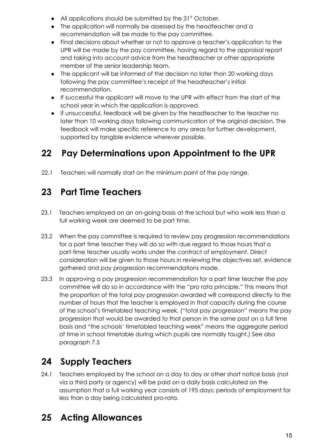- $\bullet$  All applications should be submitted by the 31st October.
- The application will normally be assessed by the headteacher and a recommendation will be made to the pay committee.
- Final decisions about whether or not to approve a teacher's application to the UPR will be made by the pay committee, having regard to the appraisal report and taking into account advice from the headteacher or other appropriate member of the senior leadership team.
- The applicant will be informed of the decision no later than 20 working days following the pay committee's receipt of the headteacher's initial recommendation.
- If successful the applicant will move to the UPR with effect from the start of the school year in which the application is approved.
- If unsuccessful, feedback will be given by the headteacher to the teacher no later than 10 working days following communication of the original decision. The feedback will make specific reference to any areas for further development, supported by tangible evidence wherever possible.

### **22 Pay Determinations upon Appointment to the UPR**

22.1 Teachers will normally start on the minimum point of the pay range.

### **23 Part Time Teachers**

- 23.1 Teachers employed on an on-going basis at the school but who work less than a full working week are deemed to be part time.
- 23.2 When the pay committee is required to review pay progression recommendations for a part time teacher they will do so with due regard to those hours that a part-time teacher usually works under the contract of employment. Direct consideration will be given to those hours in reviewing the objectives set, evidence gathered and pay progression recommendations made.
- 23.3 In approving a pay progression recommendation for a part time teacher the pay committee will do so in accordance with the "pro rata principle." This means that the proportion of the total pay progression awarded will correspond directly to the number of hours that the teacher is employed in that capacity during the course of the school's timetabled teaching week, ("total pay progression" means the pay progression that would be awarded to that person in the same post on a full time basis and "the schools' timetabled teaching week" means the aggregate period of time in school timetable during which pupils are normally taught.) See also paragraph 7.5

### **24 Supply Teachers**

24.1 Teachers employed by the school on a day to day or other short notice basis (not via a third party or agency) will be paid on a daily basis calculated on the assumption that a full working year consists of 195 days; periods of employment for less than a day being calculated pro-rata.

### **25 Acting Allowances**